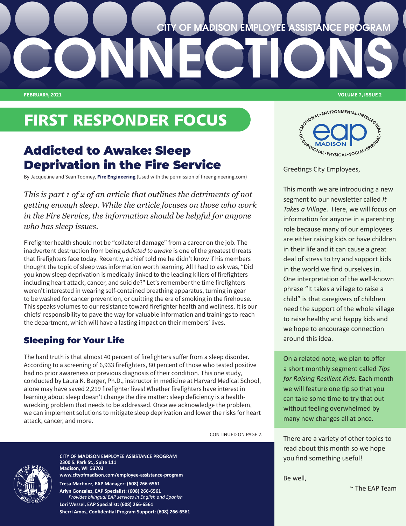# **CONNECTIONS FEBRUARY, 2021 VOLUME 7, ISSUE 2 CITY OF MADISON EMPLOYEE ASSISTANCE PROGRAM**

# FIRST RESPONDER FOCUS

# Addicted to Awake: Sleep Deprivation in the Fire Service

By Jacqueline and Sean Toomey, **[Fire Engineering](https://www.fireengineering.com/health-safety/addicted-to-awake/)** (Used with the permission of fireengineering.com)

*This is part 1 of 2 of an article that outlines the detriments of not getting enough sleep. While the article focuses on those who work in the Fire Service, the information should be helpful for anyone who has sleep issues.*

Firefighter health should not be "collateral damage" from a career on the job. The inadvertent destruction from being *addicted to awake* is one of the greatest threats that firefighters face today. Recently, a chief told me he didn't know if his members thought the topic of sleep was information worth learning. All I had to ask was, "Did you know sleep deprivation is medically linked to the leading killers of firefighters including heart attack, cancer, and suicide?" Let's remember the time firefighters weren't interested in wearing self-contained breathing apparatus, turning in gear to be washed for cancer prevention, or quitting the era of smoking in the firehouse. This speaks volumes to our resistance toward firefighter health and wellness. It is our chiefs' responsibility to pave the way for valuable information and trainings to reach the department, which will have a lasting impact on their members' lives.

# Sleeping for Your Life

The hard truth is that almost 40 percent of firefighters suffer from a sleep disorder. According to a screening of 6,933 firefighters, 80 percent of those who tested positive had no prior awareness or previous diagnosis of their condition. This one study, conducted by Laura K. Barger, Ph.D., instructor in medicine at Harvard Medical School, alone may have saved 2,219 firefighter lives! Whether firefighters have interest in learning about sleep doesn't change the dire matter: sleep deficiency is a healthwrecking problem that needs to be addressed. Once we acknowledge the problem, we can implement solutions to mitigate sleep deprivation and lower the risks for heart attack, cancer, and more.

CONTINUED ON PAGE 2.



**CITY OF MADISON EMPLOYEE ASSISTANCE PROGRAM 2300 S. Park St., Suite 111 Madison, WI 53703 [www.cityofmadison.com/employee-assistance-program](http://www.cityofmadison.com/employee-assistance-program) Tresa Martinez, EAP Manager: (608) 266-6561**

**Arlyn Gonzalez, EAP Specialist: (608) 266-6561**  *Provides bilingual EAP services in English and Spanish* **Lori Wessel, EAP Specialist: (608) 266-6561 Sherri Amos, Confidential Program Support: (608) 266-6561**

WONAL.ENVIRONMENTAL.INTELLECT **CONSULTANT MADISON MADISON REPORTS** 

Greetings City Employees,

This month we are introducing a new segment to our newsletter called *It Takes a Village.* Here, we will focus on information for anyone in a parenting role because many of our employees are either raising kids or have children in their life and it can cause a great deal of stress to try and support kids in the world we find ourselves in. One interpretation of the well-known phrase "It takes a village to raise a child" is that caregivers of children need the support of the whole village to raise healthy and happy kids and we hope to encourage connection around this idea.

On a related note, we plan to offer a short monthly segment called *Tips for Raising Resilient Kids.* Each month we will feature one tip so that you can take some time to try that out without feeling overwhelmed by many new changes all at once.

There are a variety of other topics to read about this month so we hope you find something useful!

Be well,

~ The EAP Team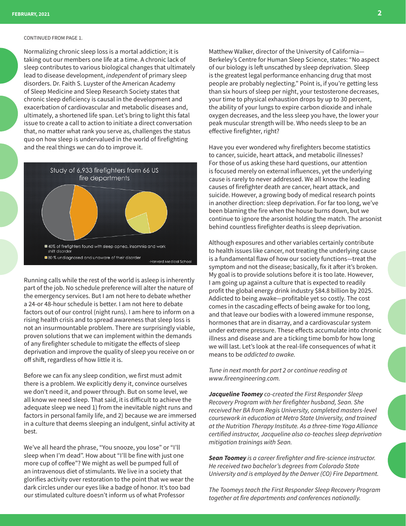#### CONTINUED FROM PAGE 1.

Normalizing chronic sleep loss is a mortal addiction; it is taking out our members one life at a time. A chronic lack of sleep contributes to various biological changes that ultimately lead to disease development, *independent* of primary sleep disorders. Dr. Faith S. Luyster of the American Academy of Sleep Medicine and Sleep Research Society states that chronic sleep deficiency is causal in the development and exacerbation of cardiovascular and metabolic diseases and, ultimately, a shortened life span. Let's bring to light this fatal issue to create a call to action to initiate a direct conversation that, no matter what rank you serve as, challenges the status quo on how sleep is undervalued in the world of firefighting and the real things we can do to improve it.



Running calls while the rest of the world is asleep is inherently part of the job. No schedule preference will alter the nature of the emergency services. But I am not here to debate whether a 24-or 48-hour schedule is better. I am not here to debate factors out of our control (night runs). I am here to inform on a rising health crisis and to spread awareness that sleep loss is not an insurmountable problem. There are surprisingly viable, proven solutions that we can implement within the demands of any firefighter schedule to mitigate the effects of sleep deprivation and improve the quality of sleep you receive on or off shift, regardless of how little it is.

Before we can fix any sleep condition, we first must admit there is a problem. We explicitly deny it, convince ourselves we don't need it, and power through. But on some level, we all know we need sleep. That said, it is difficult to achieve the adequate sleep we need 1) from the inevitable night runs and factors in personal family life, and 2) because we are immersed in a culture that deems sleeping an indulgent, sinful activity at best.

We've all heard the phrase, "You snooze, you lose" or "I'll sleep when I'm dead". How about "I'll be fine with just one more cup of coffee"? We might as well be pumped full of an intravenous diet of stimulants. We live in a society that glorifies activity over restoration to the point that we wear the dark circles under our eyes like a badge of honor. It's too bad our stimulated culture doesn't inform us of what Professor

Matthew Walker, director of the University of California— Berkeley's Centre for Human Sleep Science, states: "No aspect of our biology is left unscathed by sleep deprivation. Sleep is the greatest legal performance enhancing drug that most people are probably neglecting." Point is, if you're getting less than six hours of sleep per night, your testosterone decreases, your time to physical exhaustion drops by up to 30 percent, the ability of your lungs to expire carbon dioxide and inhale oxygen decreases, and the less sleep you have, the lower your peak muscular strength will be. Who needs sleep to be an effective firefighter, right?

Have you ever wondered why firefighters become statistics to cancer, suicide, heart attack, and metabolic illnesses? For those of us asking these hard questions, our attention is focused merely on external influences, yet the underlying cause is rarely to never addressed. We all know the leading causes of firefighter death are cancer, heart attack, and suicide. However, a growing body of medical research points in another direction: sleep deprivation. For far too long, we've been blaming the fire when the house burns down, but we continue to ignore the arsonist holding the match. The arsonist behind countless firefighter deaths is sleep deprivation.

Although exposures and other variables certainly contribute to health issues like cancer, not treating the underlying cause is a fundamental flaw of how our society functions—treat the symptom and not the disease; basically, fix it after it's broken. My goal is to provide solutions before it is too late. However, I am going up against a culture that is expected to readily profit the global energy drink industry \$84.8 billion by 2025. Addicted to being awake—profitable yet so costly. The cost comes in the cascading effects of being awake for too long, and that leave our bodies with a lowered immune response, hormones that are in disarray, and a cardiovascular system under extreme pressure. These effects accumulate into chronic illness and disease and are a ticking time bomb for how long we will last. Let's look at the real-life consequences of what it means to be *addicted to awake.*

*Tune in next month for part 2 or continue reading at www.fireengineering.com.*

*Jacqueline Toomey co-created the First Responder Sleep Recovery Program with her firefighter husband, Sean. She received her BA from Regis University, completed masters-level coursework in education at Metro State University, and trained at the Nutrition Therapy Institute. As a three-time Yoga Alliance certified instructor, Jacqueline also co-teaches sleep deprivation mitigation trainings with Sean.*

*Sean Toomey is a career firefighter and fire-science instructor. He received two bachelor's degrees from Colorado State University and is employed by the Denver (CO) Fire Department.*

*The Toomeys teach the First Responder Sleep Recovery Program together at fire departments and conferences nationally.*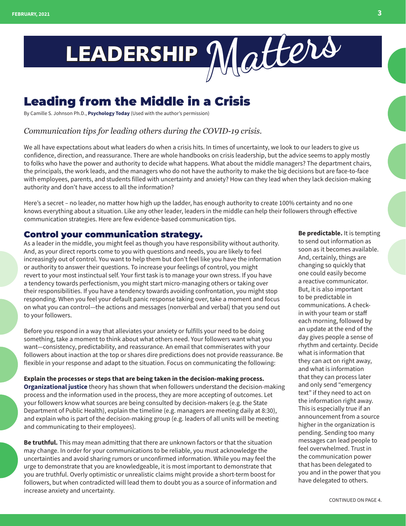

# Leading from the Middle in a Crisis

By Camille S. Johnson Ph.D., **[Psychology Today](https://www.psychologytoday.com/us/blog/its-all-relative/202003/leading-the-middle-in-crisis)** (Used with the author's permission)

## *Communication tips for leading others during the COVID-19 crisis.*

We all have expectations about what leaders do when a crisis hits. In times of uncertainty, we look to our leaders to give us confidence, direction, and reassurance. There are whole handbooks on crisis leadership, but the advice seems to apply mostly to folks who have the power and authority to decide what happens. What about the middle managers? The department chairs, the principals, the work leads, and the managers who do not have the authority to make the big decisions but are face-to-face with employees, parents, and students filled with uncertainty and anxiety? How can they lead when they lack decision-making authority and don't have access to all the information?

Here's a secret – no leader, no matter how high up the ladder, has enough authority to create 100% certainty and no one knows everything about a situation. Like any other leader, leaders in the middle can help their followers through effective communication strategies. Here are few evidence-based communication tips.

## Control your communication strategy.

As a leader in the middle, you might feel as though you have responsibility without authority. And, as your direct reports come to you with questions and needs, you are likely to feel increasingly out of control. You want to help them but don't feel like you have the information or authority to answer their questions. To increase your feelings of control, you might revert to your most instinctual self. Your first task is to manage your own stress. If you have a tendency towards perfectionism, you might start micro-managing others or taking over their responsibilities. If you have a tendency towards avoiding confrontation, you might stop responding. When you feel your default panic response taking over, take a moment and focus on what you can control—the actions and messages (nonverbal and verbal) that you send out to your followers.

Before you respond in a way that alleviates your anxiety or fulfills your need to be doing something, take a moment to think about what others need. Your followers want what you want—consistency, predictability, and reassurance. An email that commiserates with your followers about inaction at the top or shares dire predictions does not provide reassurance. Be flexible in your response and adapt to the situation. Focus on communicating the following:

**Explain the processes or steps that are being taken in the decision-making process. [Organizational justice](https://www.psychologytoday.com/us/blog/the-thoughtful-manager/202001/thoughtful-management-what-it-is-and-why-it-s-important)** theory has shown that when followers understand the decision-making process and the information used in the process, they are more accepting of outcomes. Let your followers know what sources are being consulted by decision-makers (e.g. the State Department of Public Health), explain the timeline (e.g. managers are meeting daily at 8:30), and explain who is part of the decision-making group (e.g. leaders of all units will be meeting and communicating to their employees).

**Be truthful.** This may mean admitting that there are unknown factors or that the situation may change. In order for your communications to be reliable, you must acknowledge the uncertainties and avoid sharing rumors or unconfirmed information. While you may feel the urge to demonstrate that you are knowledgeable, it is most important to demonstrate that you are truthful. Overly optimistic or unrealistic claims might provide a short-term boost for followers, but when contradicted will lead them to doubt you as a source of information and increase anxiety and uncertainty.

**Be predictable.** It is tempting to send out information as soon as it becomes available. And, certainly, things are changing so quickly that one could easily become a reactive communicator. But, it is also important to be predictable in communications. A checkin with your team or staff each morning, followed by an update at the end of the day gives people a sense of rhythm and certainty. Decide what is information that they can act on right away, and what is information that they can process later and only send "emergency text" if they need to act on the information right away. This is especially true if an announcement from a source higher in the organization is pending. Sending too many messages can lead people to feel overwhelmed. Trust in the communication power that has been delegated to you and in the power that you have delegated to others.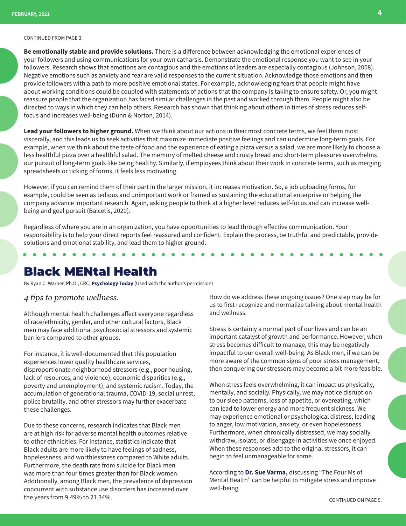#### CONTINUED FROM PAGE 3.

**Be emotionally stable and provide solutions.** There is a difference between acknowledging the emotional experiences of your followers and using communications for your own catharsis. Demonstrate the emotional response you want to see in your followers. Research shows that emotions are contagious and the emotions of leaders are especially contagious (Johnson, 2008). Negative emotions such as anxiety and fear are valid responses to the current situation. Acknowledge those emotions and then provide followers with a path to more positive emotional states. For example, acknowledging fears that people might have about working conditions could be coupled with statements of actions that the company is taking to ensure safety. Or, you might reassure people that the organization has faced similar challenges in the past and worked through them. People might also be directed to ways in which they can help others. Research has shown that thinking about others in times of stress reduces selffocus and increases well-being (Dunn & Norton, 2014).

**Lead your followers to higher ground.** When we think about our actions in their most concrete terms, we feel them most viscerally, and this leads us to seek activities that maximize immediate positive feelings and can undermine long-term goals. For example, when we think about the taste of food and the experience of eating a pizza versus a salad, we are more likely to choose a less healthful pizza over a healthful salad. The memory of melted cheese and crusty bread and short-term pleasures overwhelms our pursuit of long-term goals like being healthy. Similarly, if employees think about their work in concrete terms, such as merging spreadsheets or ticking of forms, it feels less motivating.

However, if you can remind them of their part in the larger mission, it increases motivation. So, a job uploading forms, for example, could be seen as tedious and unimportant work or framed as sustaining the educational enterprise or helping the company advance important research. Again, asking people to think at a higher level reduces self-focus and can increase wellbeing and goal pursuit (Balcetis, 2020).

Regardless of where you are in an organization, you have opportunities to lead through effective communication. Your responsibility is to help your direct reports feel reassured and confident. Explain the process, be truthful and predictable, provide solutions and emotional stability, and lead them to higher ground.

# Black MENtal Health

By Ryan C. Warner, Ph.D., CRC, **[Psychology Today](https://www.psychologytoday.com/us/blog/leadership-diversity-and-wellness/202101/black-mental-health)** (Used with the author's permission)

#### *4 tips to promote wellness.*

Although mental health challenges affect everyone regardless of race/ethnicity, gender, and other cultural factors, Black men may face additional psychosocial stressors and systemic barriers compared to other groups.

For instance, it is well-documented that this population experiences lower quality healthcare services, disproportionate neighborhood stressors (e.g., poor housing, lack of resources, and violence), economic disparities (e.g., poverty and unemployment), and systemic racism. Today, the accumulation of generational trauma, COVID-19, social unrest, police brutality, and other stressors may further exacerbate these challenges.

Due to these concerns, research indicates that Black men are at high risk for adverse mental health outcomes relative to other ethnicities. For instance, statistics indicate that Black adults are more likely to have feelings of sadness, hopelessness, and worthlessness compared to White adults. Furthermore, the death rate from suicide for Black men was more than four times greater than for Black women. Additionally, among Black men, the prevalence of depression concurrent with substance use disorders has increased over the years from 9.49% to 21.34%.

How do we address these ongoing issues? One step may be for us to first recognize and normalize talking about mental health and wellness.

Stress is certainly a normal part of our lives and can be an important catalyst of growth and performance. However, when stress becomes difficult to manage, this may be negatively impactful to our overall well-being. As Black men, if we can be more aware of the common signs of poor stress management, then conquering our stressors may become a bit more feasible.

When stress feels overwhelming, it can impact us physically, mentally, and socially. Physically, we may notice disruption to our sleep patterns, loss of appetite, or overeating, which can lead to lower energy and more frequent sickness. We may experience emotional or psychological distress, leading to anger, low motivation, anxiety, or even hopelessness. Furthermore, when chronically distressed, we may socially withdraw, isolate, or disengage in activities we once enjoyed. When these responses add to the original stressors, it can begin to feel unmanageable for some.

According to **[Dr. Sue Varma,](https://www.psychologytoday.com/us/psychiatrists/sue-varma-new-york-ny/63792)** discussing "The Four Ms of Mental Health" can be helpful to mitigate stress and improve well-being.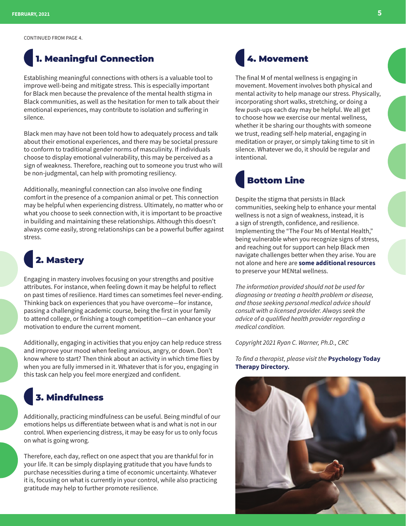CONTINUED FROM PAGE 4.

# 1. Meaningful Connection

Establishing meaningful connections with others is a valuable tool to improve well-being and mitigate stress. This is especially important for Black men because the prevalence of the mental health stigma in Black communities, as well as the hesitation for men to talk about their emotional experiences, may contribute to isolation and suffering in silence.

Black men may have not been told how to adequately process and talk about their emotional experiences, and there may be societal pressure to conform to traditional gender norms of masculinity. If individuals choose to display emotional vulnerability, this may be perceived as a sign of weakness. Therefore, reaching out to someone you trust who will be non-judgmental, can help with promoting resiliency.

Additionally, meaningful connection can also involve one finding comfort in the presence of a companion animal or pet. This connection may be helpful when experiencing distress. Ultimately, no matter who or what you choose to seek connection with, it is important to be proactive in building and maintaining these relationships. Although this doesn't always come easily, strong relationships can be a powerful buffer against stress.

# 2. Mastery

Engaging in mastery involves focusing on your strengths and positive attributes. For instance, when feeling down it may be helpful to reflect on past times of resilience. Hard times can sometimes feel never-ending. Thinking back on experiences that you have overcome—for instance, passing a challenging academic course, being the first in your family to attend college, or finishing a tough competition—can enhance your motivation to endure the current moment.

Additionally, engaging in activities that you enjoy can help reduce stress and improve your mood when feeling anxious, angry, or down. Don't know where to start? Then think about an activity in which time flies by when you are fully immersed in it. Whatever that is for you, engaging in this task can help you feel more energized and confident.

# 3. Mindfulness

Additionally, practicing mindfulness can be useful. Being mindful of our emotions helps us differentiate between what is and what is not in our control. When experiencing distress, it may be easy for us to only focus on what is going wrong.

Therefore, each day, reflect on one aspect that you are thankful for in your life. It can be simply displaying gratitude that you have funds to purchase necessities during a time of economic uncertainty. Whatever it is, focusing on what is currently in your control, while also practicing gratitude may help to further promote resilience.



The final M of mental wellness is engaging in movement. Movement involves both physical and mental activity to help manage our stress. Physically, incorporating short walks, stretching, or doing a few push-ups each day may be helpful. We all get to choose how we exercise our mental wellness, whether it be sharing our thoughts with someone we trust, reading self-help material, engaging in meditation or prayer, or simply taking time to sit in silence. Whatever we do, it should be regular and intentional.

# Bottom Line

Despite the stigma that persists in Black communities, seeking help to enhance your mental wellness is not a sign of weakness, instead, it is a sign of strength, confidence, and resilience. Implementing the "The Four Ms of Mental Health," being vulnerable when you recognize signs of stress, and reaching out for support can help Black men navigate challenges better when they arise. You are not alone and here are **[some additional resources](https://www.activeminds.org/blog/supporting-black-mens-mental-health/)** to preserve your MENtal wellness.

*The information provided should not be used for diagnosing or treating a health problem or disease, and those seeking personal medical advice should consult with a licensed provider. Always seek the advice of a qualified health provider regarding a medical condition.*

*Copyright 2021 Ryan C. Warner, Ph.D., CRC*

*To find a therapist, please visit the* **[Psychology Today](https://www.psychologytoday.com/us/therapists)  [Therapy Directory.](https://www.psychologytoday.com/us/therapists)**

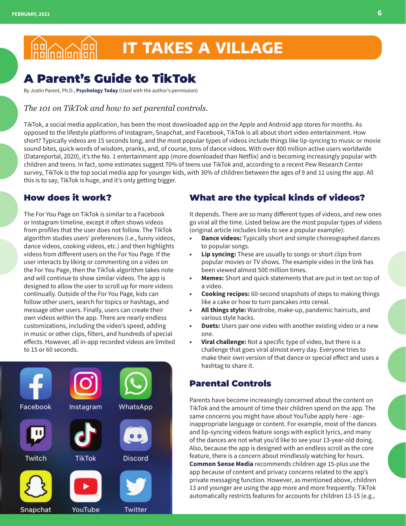# IT TAKES A VILLAGE **ag**<br>nolnolon

# A Parent's Guide to TikTok

By Justin Parent, Ph.D., **[Psychology Today](https://www.psychologytoday.com/us/blog/child-and-family-well-being/202101/parents-guide-tiktok)** (Used with the author's permission)

## *The 101 on TikTok and how to set parental controls.*

TikTok, a social media application, has been the most downloaded app on the Apple and Android app stores for months. As opposed to the lifestyle platforms of Instagram, Snapchat, and Facebook, TikTok is all about short video entertainment. How short? Typically videos are 15 seconds long, and the most popular types of videos include things like lip-syncing to music or movie sound bites, quick words of wisdom, pranks, and, of course, tons of dance videos. With over 800 million active users worldwide (Datareportal, 2020), it's the No. 1 entertainment app (more downloaded than Netflix) and is becoming increasingly popular with children and teens. In fact, some estimates suggest 70% of teens use TikTok and, according to a recent Pew Research Center survey, TikTok is the top social media app for younger kids, with 30% of children between the ages of 9 and 11 using the app. All this is to say, TikTok is huge, and it's only getting bigger.

## How does it work?

The For You Page on TikTok is similar to a Facebook or Instagram timeline, except it often shows videos from profiles that the user does not follow. The TikTok algorithm studies users' preferences (i.e., funny videos, dance videos, cooking videos, etc.) and then highlights videos from different users on the For You Page. If the user interacts by liking or commenting on a video on the For You Page, then the TikTok algorithm takes note and will continue to show similar videos. The app is designed to allow the user to scroll up for more videos continually. Outside of the For You Page, kids can follow other users, search for topics or hashtags, and message other users. Finally, users can create their own videos within the app. There are nearly endless customizations, including the video's speed, adding in music or other clips, filters, and hundreds of special effects. However, all in-app recorded videos are limited to 15 or 60 seconds.



## What are the typical kinds of videos?

It depends. There are so many different types of videos, and new ones go viral all the time. Listed below are the most popular types of videos (original article includes links to see a popular example):

- **• Dance videos:** Typically short and simple choreographed dances to popular songs.
- **• Lip syncing:** These are usually to songs or short clips from popular movies or TV shows. The example video in the link has been viewed almost 500 million times.
- **• Memes:** Short and quick statements that are put in text on top of a video.
- **• Cooking recipes:** 60-second snapshots of steps to making things like a cake or how to turn pancakes into cereal.
- **• All things style:** Wardrobe, make-up, pandemic haircuts, and various style hacks.
- **• Duets:** Users pair one video with another existing video or a new one.
- **• Viral challenge:** Not a specific type of video, but there is a challenge that goes viral almost every day. Everyone tries to make their own version of that dance or special effect and uses a hashtag to share it.

## Parental Controls

Parents have become increasingly concerned about the content on TikTok and the amount of time their children spend on the app. The same concerns you might have about YouTube apply here - ageinappropriate language or content. For example, most of the dances and lip-syncing videos feature songs with explicit lyrics, and many of the dances are not what you'd like to see your 13-year-old doing. Also, because the app is designed with an endless scroll as the core feature, there is a concern about mindlessly watching for hours. **[Common Sense Media](https://www.commonsensemedia.org/blog/parents-ultimate-guide-to-tiktok)** recommends children age 15-plus use the app because of content and privacy concerns related to the app's private messaging function. However, as mentioned above, children 13 and younger are using the app more and more frequently. TikTok automatically restricts features for accounts for children 13-15 (e.g.,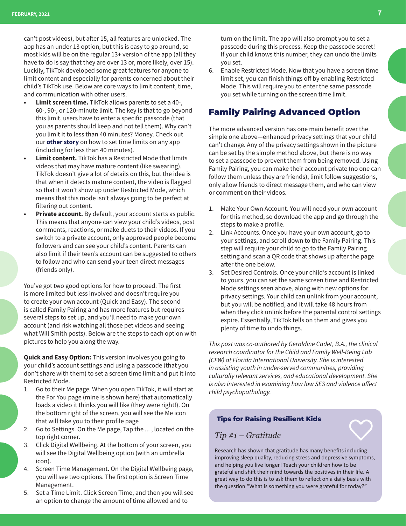can't post videos), but after 15, all features are unlocked. The app has an under 13 option, but this is easy to go around, so most kids will be on the regular 13+ version of the app (all they have to do is say that they are over 13 or, more likely, over 15). Luckily, TikTok developed some great features for anyone to limit content and especially for parents concerned about their child's TikTok use. Below are core ways to limit content, time, and communication with other users.

- **• Limit screen time.** TikTok allows parents to set a 40-, 60-, 90-, or 120-minute limit. The key is that to go beyond this limit, users have to enter a specific passcode (that you as parents should keep and not tell them). Why can't you limit it to less than 40 minutes? Money. Check out our **[other story](https://www.psychologytoday.com/us/blog/child-and-family-well-being/202010/helping-children-through-the-screen-school-transition)** on how to set time limits on any app (including for less than 40 minutes).
- **• Limit content.** TikTok has a Restricted Mode that limits videos that may have mature content (like swearing). TikTok doesn't give a lot of details on this, but the idea is that when it detects mature content, the video is flagged so that it won't show up under Restricted Mode, which means that this mode isn't always going to be perfect at filtering out content.
- **• Private account.** By default, your account starts as public. This means that anyone can view your child's videos, post comments, reactions, or make duets to their videos. If you switch to a private account, only approved people become followers and can see your child's content. Parents can also limit if their teen's account can be suggested to others to follow and who can send your teen direct messages (friends only).

You've got two good options for how to proceed. The first is more limited but less involved and doesn't require you to create your own account (Quick and Easy). The second is called Family Pairing and has more features but requires several steps to set up, and you'll need to make your own account (and risk watching all those pet videos and seeing what Will Smith posts). Below are the steps to each option with pictures to help you along the way.

**Quick and Easy Option:** This version involves you going to your child's account settings and using a passcode (that you don't share with them) to set a screen time limit and put it into Restricted Mode.

- 1. Go to their Me page. When you open TikTok, it will start at the For You page (mine is shown here) that automatically loads a video it thinks you will like (they were right!). On the bottom right of the screen, you will see the Me icon that will take you to their profile page
- 2. Go to Settings. On the Me page, Tap the ... , located on the top right corner.
- 3. Click Digital Wellbeing. At the bottom of your screen, you will see the Digital Wellbeing option (with an umbrella icon).
- 4. Screen Time Management. On the Digital Wellbeing page, you will see two options. The first option is Screen Time Management.
- 5. Set a Time Limit. Click Screen Time, and then you will see an option to change the amount of time allowed and to

turn on the limit. The app will also prompt you to set a passcode during this process. Keep the passcode secret! If your child knows this number, they can undo the limits you set.

6. Enable Restricted Mode. Now that you have a screen time limit set, you can finish things off by enabling Restricted Mode. This will require you to enter the same passcode you set while turning on the screen time limit.

## Family Pairing Advanced Option

The more advanced version has one main benefit over the simple one above—enhanced privacy settings that your child can't change. Any of the privacy settings shown in the picture can be set by the simple method above, but there is no way to set a passcode to prevent them from being removed. Using Family Pairing, you can make their account private (no one can follow them unless they are friends), limit follow suggestions, only allow friends to direct message them, and who can view or comment on their videos.

- 1. Make Your Own Account. You will need your own account for this method, so download the app and go through the steps to make a profile.
- 2. Link Accounts. Once you have your own account, go to your settings, and scroll down to the Family Pairing. This step will require your child to go to the Family Pairing setting and scan a QR code that shows up after the page after the one below.
- 3. Set Desired Controls. Once your child's account is linked to yours, you can set the same screen time and Restricted Mode settings seen above, along with new options for privacy settings. Your child can unlink from your account, but you will be notified, and it will take 48 hours from when they click unlink before the parental control settings expire. Essentially, TikTok tells on them and gives you plenty of time to undo things.

*This post was co-authored by Geraldine Cadet, B.A., the clinical research coordinator for the Child and Family Well-Being Lab (CFW) at Florida International University. She is interested in assisting youth in under-served communities, providing culturally relevant services, and educational development. She is also interested in examining how low SES and violence affect child psychopathology.*

#### **Tips for Raising Resilient Kids**

### *Tip #1 – Gratitude*

Research has shown that gratitude has many benefits including improving sleep quality, reducing stress and depressive symptoms, and helping you live longer! Teach your children how to be grateful and shift their mind towards the positives in their life. A great way to do this is to ask them to reflect on a daily basis with the question "What is something you were grateful for today?"